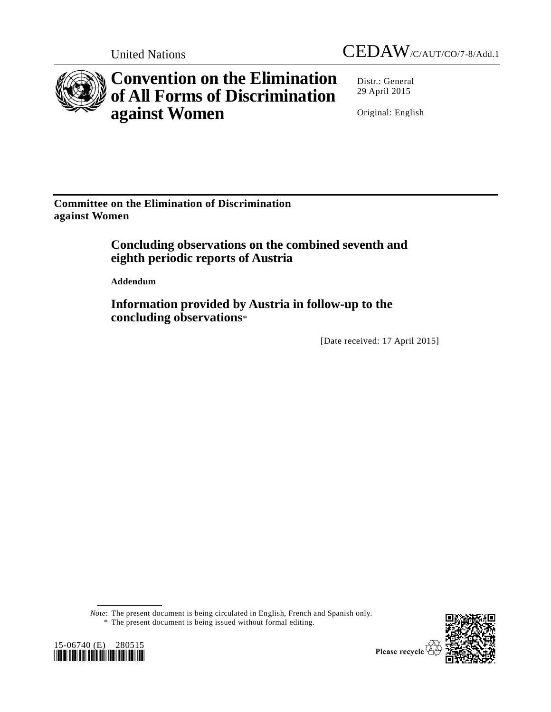



# **Convention on the Elimination of All Forms of Discrimination against Women**

Distr.: General 29 April 2015

Original: English

**Committee on the Elimination of Discrimination against Women**

# **Concluding observations on the combined seventh and eighth periodic reports of Austria**

**Addendum**

**Information provided by Austria in follow-up to the concluding observations**\*

[Date received: 17 April 2015]

*Note*: The present document is being circulated in English, French and Spanish only. \* The present document is being issued without formal editing.



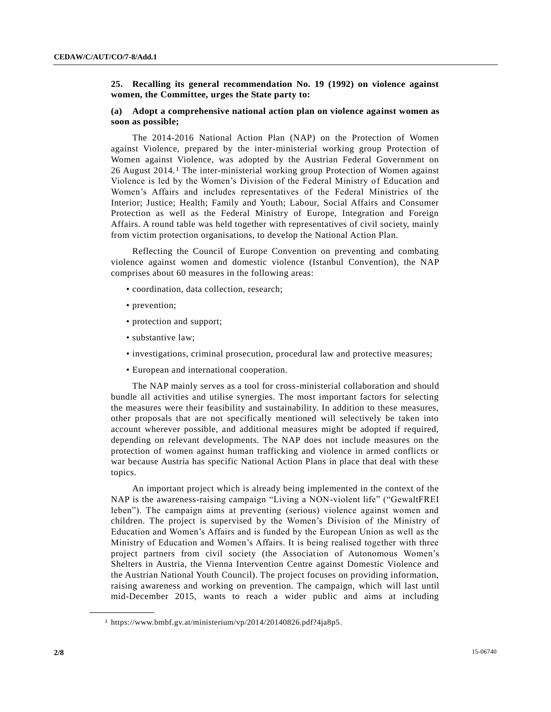#### **25. Recalling its general recommendation No. 19 (1992) on violence against women, the Committee, urges the State party to:**

#### **(a) Adopt a comprehensive national action plan on violence against women as soon as possible;**

The 2014-2016 National Action Plan (NAP) on the Protection of Women against Violence, prepared by the inter-ministerial working group Protection of Women against Violence, was adopted by the Austrian Federal Government on 26 August 2014.1 The inter-ministerial working group Protection of Women against Violence is led by the Women's Division of the Federal Ministry of Education and Women's Affairs and includes representatives of the Federal Ministries of the Interior; Justice; Health; Family and Youth; Labour, Social Affairs and Consumer Protection as well as the Federal Ministry of Europe, Integration and Foreign Affairs. A round table was held together with representatives of civil society, mainly from victim protection organisations, to develop the National Action Plan.

Reflecting the Council of Europe Convention on preventing and combating violence against women and domestic violence (Istanbul Convention), the NAP comprises about 60 measures in the following areas:

- coordination, data collection, research;
- prevention;
- protection and support;
- substantive law;
- investigations, criminal prosecution, procedural law and protective measures;
- European and international cooperation.

The NAP mainly serves as a tool for cross-ministerial collaboration and should bundle all activities and utilise synergies. The most important factors for selecting the measures were their feasibility and sustainability. In addition to these measures, other proposals that are not specifically mentioned will selectively be taken into account wherever possible, and additional measures might be adopted if required, depending on relevant developments. The NAP does not include measures on the protection of women against human trafficking and violence in armed conflicts or war because Austria has specific National Action Plans in place that deal with these topics.

An important project which is already being implemented in the context of the NAP is the awareness-raising campaign "Living a NON-violent life" ("GewaltFREI leben"). The campaign aims at preventing (serious) violence against women and children. The project is supervised by the Women's Division of the Ministry of Education and Women's Affairs and is funded by the European Union as well as the Ministry of Education and Women's Affairs. It is being realised together with three project partners from civil society (the Association of Autonomous Women's Shelters in Austria, the Vienna Intervention Centre against Domestic Violence and the Austrian National Youth Council). The project focuses on providing information, raising awareness and working on prevention. The campaign, which will last until mid-December 2015, wants to reach a wider public and aims at including

**\_\_\_\_\_\_\_\_\_\_\_\_\_\_\_\_\_\_**

<sup>1</sup> https://www.bmbf.gv.at/ministerium/vp/2014/20140826.pdf?4ja8p5.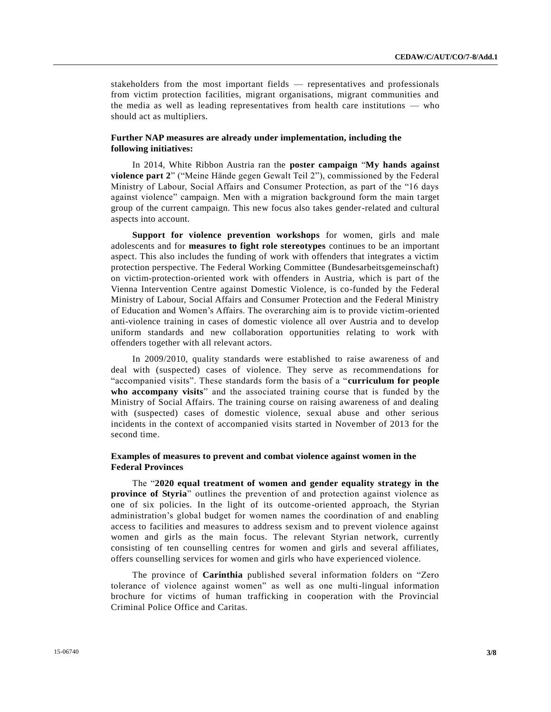stakeholders from the most important fields — representatives and professionals from victim protection facilities, migrant organisations, migrant communities and the media as well as leading representatives from health care institutions — who should act as multipliers.

# **Further NAP measures are already under implementation, including the following initiatives:**

In 2014, White Ribbon Austria ran the **poster campaign** "**My hands against violence part 2**" ("Meine Hände gegen Gewalt Teil 2"), commissioned by the Federal Ministry of Labour, Social Affairs and Consumer Protection, as part of the "16 days against violence" campaign. Men with a migration background form the main target group of the current campaign. This new focus also takes gender-related and cultural aspects into account.

**Support for violence prevention workshops** for women, girls and male adolescents and for **measures to fight role stereotypes** continues to be an important aspect. This also includes the funding of work with offenders that integrates a victim protection perspective. The Federal Working Committee (Bundesarbeitsgemeinschaft) on victim-protection-oriented work with offenders in Austria, which is part of the Vienna Intervention Centre against Domestic Violence, is co-funded by the Federal Ministry of Labour, Social Affairs and Consumer Protection and the Federal Ministry of Education and Women's Affairs. The overarching aim is to provide victim-oriented anti-violence training in cases of domestic violence all over Austria and to develop uniform standards and new collaboration opportunities relating to work with offenders together with all relevant actors.

In 2009/2010, quality standards were established to raise awareness of and deal with (suspected) cases of violence. They serve as recommendations for "accompanied visits". These standards form the basis of a "**curriculum for people who accompany visits**" and the associated training course that is funded by the Ministry of Social Affairs. The training course on raising awareness of and dealing with (suspected) cases of domestic violence, sexual abuse and other serious incidents in the context of accompanied visits started in November of 2013 for the second time.

# **Examples of measures to prevent and combat violence against women in the Federal Provinces**

The "**2020 equal treatment of women and gender equality strategy in the province of Styria**" outlines the prevention of and protection against violence as one of six policies. In the light of its outcome-oriented approach, the Styrian administration's global budget for women names the coordination of and enabling access to facilities and measures to address sexism and to prevent violence against women and girls as the main focus. The relevant Styrian network, currently consisting of ten counselling centres for women and girls and several affiliates, offers counselling services for women and girls who have experienced violence.

The province of **Carinthia** published several information folders on "Zero tolerance of violence against women" as well as one multi-lingual information brochure for victims of human trafficking in cooperation with the Provincial Criminal Police Office and Caritas.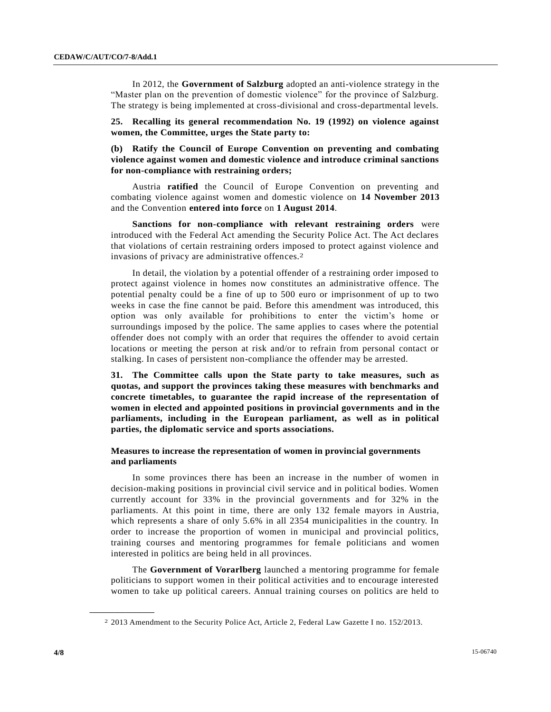In 2012, the **Government of Salzburg** adopted an anti-violence strategy in the "Master plan on the prevention of domestic violence" for the province of Salzburg. The strategy is being implemented at cross-divisional and cross-departmental levels.

**25. Recalling its general recommendation No. 19 (1992) on violence against women, the Committee, urges the State party to:** 

**(b) Ratify the Council of Europe Convention on preventing and combating violence against women and domestic violence and introduce criminal sanctions for non-compliance with restraining orders;**

Austria **ratified** the Council of Europe Convention on preventing and combating violence against women and domestic violence on **14 November 2013** and the Convention **entered into force** on **1 August 2014**.

**Sanctions for non-compliance with relevant restraining orders** were introduced with the Federal Act amending the Security Police Act. The Act declares that violations of certain restraining orders imposed to protect against violence and invasions of privacy are administrative offences. 2

In detail, the violation by a potential offender of a restraining order imposed to protect against violence in homes now constitutes an administrative offence. The potential penalty could be a fine of up to 500 euro or imprisonment of up to two weeks in case the fine cannot be paid. Before this amendment was introduced, this option was only available for prohibitions to enter the victim's home or surroundings imposed by the police. The same applies to cases where the potential offender does not comply with an order that requires the offender to avoid certain locations or meeting the person at risk and/or to refrain from personal contact or stalking. In cases of persistent non-compliance the offender may be arrested.

**31. The Committee calls upon the State party to take measures, such as quotas, and support the provinces taking these measures with benchmarks and concrete timetables, to guarantee the rapid increase of the representation of women in elected and appointed positions in provincial governments and in the parliaments, including in the European parliament, as well as in political parties, the diplomatic service and sports associations.**

## **Measures to increase the representation of women in provincial governments and parliaments**

In some provinces there has been an increase in the number of women in decision-making positions in provincial civil service and in political bodies. Women currently account for 33% in the provincial governments and for 32% in the parliaments. At this point in time, there are only 132 female mayors in Austria, which represents a share of only 5.6% in all 2354 municipalities in the country. In order to increase the proportion of women in municipal and provincial politics, training courses and mentoring programmes for female politicians and women interested in politics are being held in all provinces.

The **Government of Vorarlberg** launched a mentoring programme for female politicians to support women in their political activities and to encourage interested women to take up political careers. Annual training courses on politics are held to

**\_\_\_\_\_\_\_\_\_\_\_\_\_\_\_\_\_\_**

<sup>2</sup> 2013 Amendment to the Security Police Act, Article 2, Federal Law Gazette I no. 152/2013.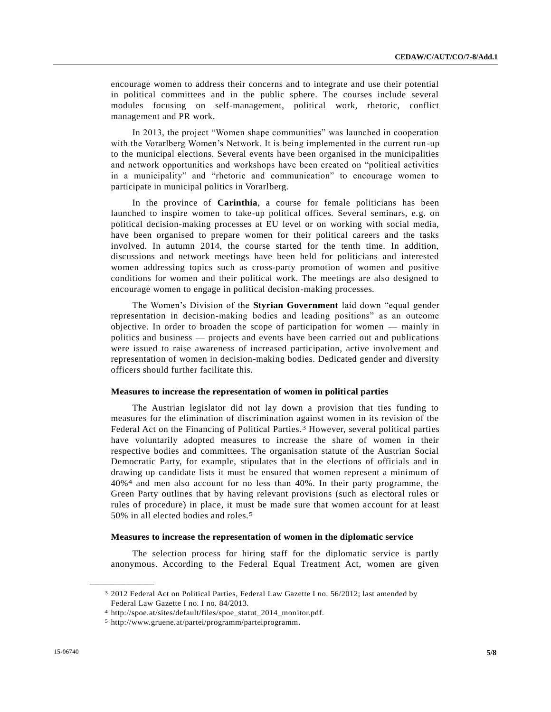encourage women to address their concerns and to integrate and use their potential in political committees and in the public sphere. The courses include several modules focusing on self-management, political work, rhetoric, conflict management and PR work.

In 2013, the project "Women shape communities" was launched in cooperation with the Vorarlberg Women's Network. It is being implemented in the current run-up to the municipal elections. Several events have been organised in the municipalities and network opportunities and workshops have been created on "political activities in a municipality" and "rhetoric and communication" to encourage women to participate in municipal politics in Vorarlberg.

In the province of **Carinthia**, a course for female politicians has been launched to inspire women to take-up political offices. Several seminars, e.g. on political decision-making processes at EU level or on working with social media, have been organised to prepare women for their political careers and the tasks involved. In autumn 2014, the course started for the tenth time. In addition, discussions and network meetings have been held for politicians and interested women addressing topics such as cross-party promotion of women and positive conditions for women and their political work. The meetings are also designed to encourage women to engage in political decision-making processes.

The Women's Division of the **Styrian Government** laid down "equal gender representation in decision-making bodies and leading positions" as an outcome objective. In order to broaden the scope of participation for women — mainly in politics and business — projects and events have been carried out and publications were issued to raise awareness of increased participation, active involvement and representation of women in decision-making bodies. Dedicated gender and diversity officers should further facilitate this.

#### **Measures to increase the representation of women in political parties**

The Austrian legislator did not lay down a provision that ties funding to measures for the elimination of discrimination against women in its revision of the Federal Act on the Financing of Political Parties.<sup>3</sup> However, several political parties have voluntarily adopted measures to increase the share of women in their respective bodies and committees. The organisation statute of the Austrian Social Democratic Party, for example, stipulates that in the elections of officials and in drawing up candidate lists it must be ensured that women represent a minimum of 40%4 and men also account for no less than 40%. In their party programme, the Green Party outlines that by having relevant provisions (such as electoral rules or rules of procedure) in place, it must be made sure that women account for at least 50% in all elected bodies and roles.5

#### **Measures to increase the representation of women in the diplomatic service**

The selection process for hiring staff for the diplomatic service is partly anonymous. According to the Federal Equal Treatment Act, women are given

**\_\_\_\_\_\_\_\_\_\_\_\_\_\_\_\_\_\_**

<sup>3</sup> 2012 Federal Act on Political Parties, Federal Law Gazette I no. 56/2012; last amended by Federal Law Gazette I no. I no. 84/2013.

<sup>4</sup> http://spoe.at/sites/default/files/spoe\_statut\_2014\_monitor.pdf.

<sup>5</sup> http://www.gruene.at/partei/programm/parteiprogramm.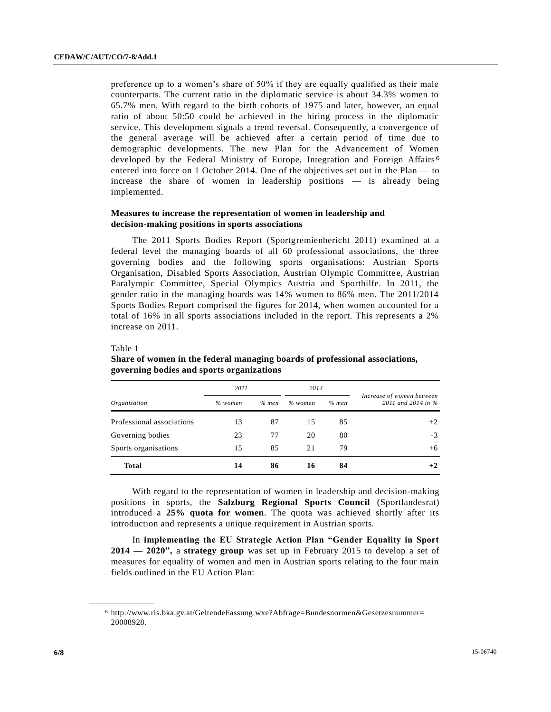Table 1

**\_\_\_\_\_\_\_\_\_\_\_\_\_\_\_\_\_\_**

preference up to a women's share of 50% if they are equally qualified as their male counterparts. The current ratio in the diplomatic service is about 34.3% women to 65.7% men. With regard to the birth cohorts of 1975 and later, however, an equal ratio of about 50:50 could be achieved in the hiring process in the diplomatic service. This development signals a trend reversal. Consequently, a convergence of the general average will be achieved after a certain period of time due to demographic developments. The new Plan for the Advancement of Women developed by the Federal Ministry of Europe, Integration and Foreign Affairs<sup>6</sup> entered into force on 1 October 2014. One of the objectives set out in the Plan — to increase the share of women in leadership positions — is already being implemented.

# **Measures to increase the representation of women in leadership and decision-making positions in sports associations**

The 2011 Sports Bodies Report (Sportgremienbericht 2011) examined at a federal level the managing boards of all 60 professional associations, the three governing bodies and the following sports organisations: Austrian Sports Organisation, Disabled Sports Association, Austrian Olympic Committee, Austrian Paralympic Committee, Special Olympics Austria and Sporthilfe. In 2011, the gender ratio in the managing boards was 14% women to 86% men. The 2011/2014 Sports Bodies Report comprised the figures for 2014, when women accounted for a total of 16% in all sports associations included in the report. This represents a 2% increase on 2011.

# *2011 2014 Increase of women between Organisation % women % men % women % men 2011 and 2014 in %* Professional associations  $13$  87  $15$  85  $+2$ Governing bodies  $23$   $77$   $20$   $80$   $-3$ Sports organisations  $15 \t 85 \t 21 \t 79 \t +6$ **Total 14 86 16 84 +2**

# **Share of women in the federal managing boards of professional associations, governing bodies and sports organizations**

With regard to the representation of women in leadership and decision-making positions in sports, the **Salzburg Regional Sports Council** (Sportlandesrat) introduced a **25% quota for women**. The quota was achieved shortly after its introduction and represents a unique requirement in Austrian sports.

In **implementing the EU Strategic Action Plan "Gender Equality in Sport 2014 — 2020",** a **strategy group** was set up in February 2015 to develop a set of measures for equality of women and men in Austrian sports relating to the four main fields outlined in the EU Action Plan:

<sup>6</sup> http://www.ris.bka.gv.at/GeltendeFassung.wxe?Abfrage=Bundesnormen&Gesetzesnummer= 20008928.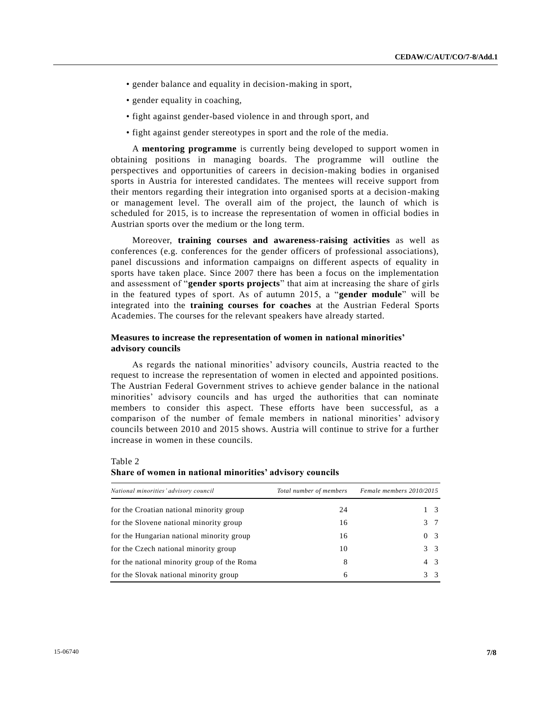- gender balance and equality in decision-making in sport,
- gender equality in coaching,
- fight against gender-based violence in and through sport, and
- fight against gender stereotypes in sport and the role of the media.

A **mentoring programme** is currently being developed to support women in obtaining positions in managing boards. The programme will outline the perspectives and opportunities of careers in decision-making bodies in organised sports in Austria for interested candidates. The mentees will receive support from their mentors regarding their integration into organised sports at a decision-making or management level. The overall aim of the project, the launch of which is scheduled for 2015, is to increase the representation of women in official bodies in Austrian sports over the medium or the long term.

Moreover, **training courses and awareness-raising activities** as well as conferences (e.g. conferences for the gender officers of professional associations), panel discussions and information campaigns on different aspects of equality in sports have taken place. Since 2007 there has been a focus on the implementation and assessment of "**gender sports projects**" that aim at increasing the share of girls in the featured types of sport. As of autumn 2015, a "**gender module**" will be integrated into the **training courses for coaches** at the Austrian Federal Sports Academies. The courses for the relevant speakers have already started.

#### **Measures to increase the representation of women in national minorities' advisory councils**

As regards the national minorities' advisory councils, Austria reacted to the request to increase the representation of women in elected and appointed positions. The Austrian Federal Government strives to achieve gender balance in the national minorities' advisory councils and has urged the authorities that can nominate members to consider this aspect. These efforts have been successful, as a comparison of the number of female members in national minorities' advisor y councils between 2010 and 2015 shows. Austria will continue to strive for a further increase in women in these councils.

Table 2 **Share of women in national minorities' advisory councils**

| National minorities' advisory council       | Total number of members | Female members 2010/2015 |
|---------------------------------------------|-------------------------|--------------------------|
| for the Croatian national minority group    | 24                      | 1 3                      |
| for the Slovene national minority group     | 16                      | 3 7                      |
| for the Hungarian national minority group   | 16                      | 0 <sub>3</sub>           |
| for the Czech national minority group       | 10                      | $3 \overline{3}$         |
| for the national minority group of the Roma | 8                       | 4 3                      |
| for the Slovak national minority group      | 6                       | $3 \overline{3}$         |